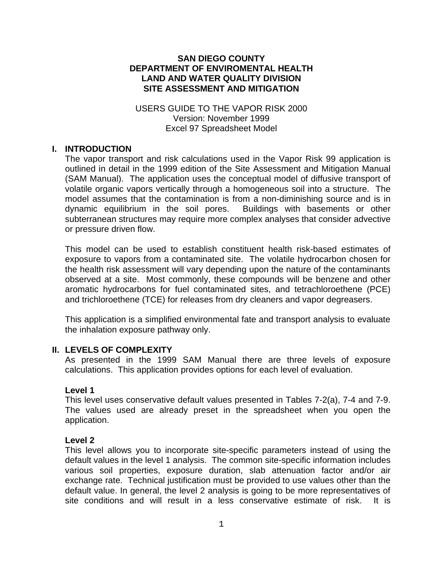# **SAN DIEGO COUNTY DEPARTMENT OF ENVIROMENTAL HEALTH LAND AND WATER QUALITY DIVISION SITE ASSESSMENT AND MITIGATION**

USERS GUIDE TO THE VAPOR RISK 2000 Version: November 1999 Excel 97 Spreadsheet Model

# **I. INTRODUCTION**

The vapor transport and risk calculations used in the Vapor Risk 99 application is outlined in detail in the 1999 edition of the Site Assessment and Mitigation Manual (SAM Manual). The application uses the conceptual model of diffusive transport of volatile organic vapors vertically through a homogeneous soil into a structure. The model assumes that the contamination is from a non-diminishing source and is in dynamic equilibrium in the soil pores. Buildings with basements or other subterranean structures may require more complex analyses that consider advective or pressure driven flow.

This model can be used to establish constituent health risk-based estimates of exposure to vapors from a contaminated site. The volatile hydrocarbon chosen for the health risk assessment will vary depending upon the nature of the contaminants observed at a site. Most commonly, these compounds will be benzene and other aromatic hydrocarbons for fuel contaminated sites, and tetrachloroethene (PCE) and trichloroethene (TCE) for releases from dry cleaners and vapor degreasers.

This application is a simplified environmental fate and transport analysis to evaluate the inhalation exposure pathway only.

### **II. LEVELS OF COMPLEXITY**

As presented in the 1999 SAM Manual there are three levels of exposure calculations. This application provides options for each level of evaluation.

# **Level 1**

This level uses conservative default values presented in Tables 7-2(a), 7-4 and 7-9. The values used are already preset in the spreadsheet when you open the application.

#### **Level 2**

This level allows you to incorporate site-specific parameters instead of using the default values in the level 1 analysis. The common site-specific information includes various soil properties, exposure duration, slab attenuation factor and/or air exchange rate. Technical justification must be provided to use values other than the default value. In general, the level 2 analysis is going to be more representatives of site conditions and will result in a less conservative estimate of risk. It is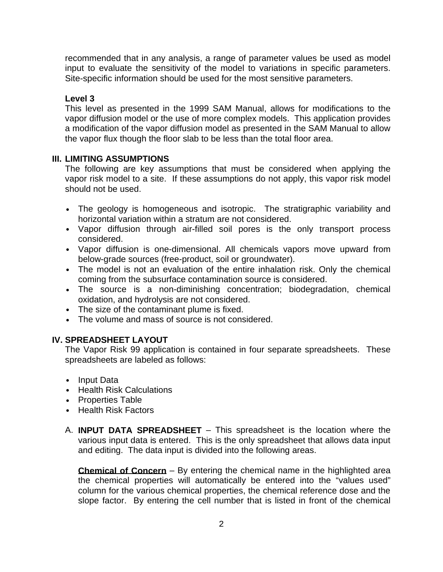recommended that in any analysis, a range of parameter values be used as model input to evaluate the sensitivity of the model to variations in specific parameters. Site-specific information should be used for the most sensitive parameters.

# **Level 3**

This level as presented in the 1999 SAM Manual, allows for modifications to the vapor diffusion model or the use of more complex models. This application provides a modification of the vapor diffusion model as presented in the SAM Manual to allow the vapor flux though the floor slab to be less than the total floor area.

# **III. LIMITING ASSUMPTIONS**

The following are key assumptions that must be considered when applying the vapor risk model to a site. If these assumptions do not apply, this vapor risk model should not be used.

- The geology is homogeneous and isotropic. The stratigraphic variability and horizontal variation within a stratum are not considered.
- Vapor diffusion through air-filled soil pores is the only transport process considered.
- Vapor diffusion is one-dimensional. All chemicals vapors move upward from below-grade sources (free-product, soil or groundwater).
- The model is not an evaluation of the entire inhalation risk. Only the chemical coming from the subsurface contamination source is considered.
- The source is a non-diminishing concentration; biodegradation, chemical oxidation, and hydrolysis are not considered.
- The size of the contaminant plume is fixed.
- The volume and mass of source is not considered.

# **IV. SPREADSHEET LAYOUT**

The Vapor Risk 99 application is contained in four separate spreadsheets. These spreadsheets are labeled as follows:

- Input Data
- Health Risk Calculations
- Properties Table
- Health Risk Factors
- A. **INPUT DATA SPREADSHEET** This spreadsheet is the location where the various input data is entered. This is the only spreadsheet that allows data input and editing. The data input is divided into the following areas.

**Chemical of Concern** – By entering the chemical name in the highlighted area the chemical properties will automatically be entered into the "values used" column for the various chemical properties, the chemical reference dose and the slope factor. By entering the cell number that is listed in front of the chemical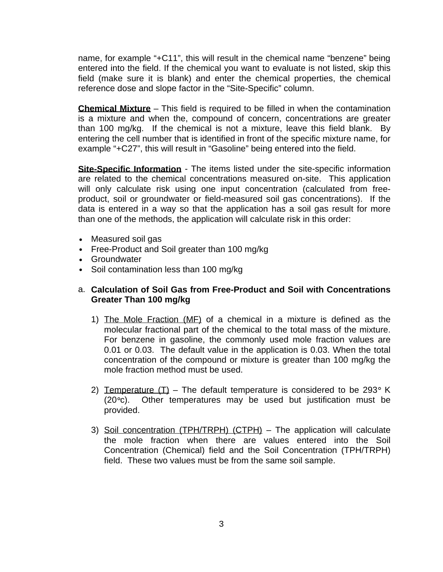name, for example "+C11", this will result in the chemical name "benzene" being entered into the field. If the chemical you want to evaluate is not listed, skip this field (make sure it is blank) and enter the chemical properties, the chemical reference dose and slope factor in the "Site-Specific" column.

**Chemical Mixture** – This field is required to be filled in when the contamination is a mixture and when the, compound of concern, concentrations are greater than 100 mg/kg. If the chemical is not a mixture, leave this field blank. By entering the cell number that is identified in front of the specific mixture name, for example "+C27", this will result in "Gasoline" being entered into the field.

**Site-Specific Information** - The items listed under the site-specific information are related to the chemical concentrations measured on-site. This application will only calculate risk using one input concentration (calculated from freeproduct, soil or groundwater or field-measured soil gas concentrations). If the data is entered in a way so that the application has a soil gas result for more than one of the methods, the application will calculate risk in this order:

- Measured soil gas
- Free-Product and Soil greater than 100 mg/kg
- Groundwater
- Soil contamination less than 100 mg/kg

# a. **Calculation of Soil Gas from Free-Product and Soil with Concentrations Greater Than 100 mg/kg**

- 1) The Mole Fraction (MF) of a chemical in a mixture is defined as the molecular fractional part of the chemical to the total mass of the mixture. For benzene in gasoline, the commonly used mole fraction values are 0.01 or 0.03. The default value in the application is 0.03. When the total concentration of the compound or mixture is greater than 100 mg/kg the mole fraction method must be used.
- 2) Temperature (T) The default temperature is considered to be 293 $\textdegree$  K (20°c). Other temperatures may be used but justification must be provided.
- 3) Soil concentration (TPH/TRPH) (CTPH) The application will calculate the mole fraction when there are values entered into the Soil Concentration (Chemical) field and the Soil Concentration (TPH/TRPH) field. These two values must be from the same soil sample.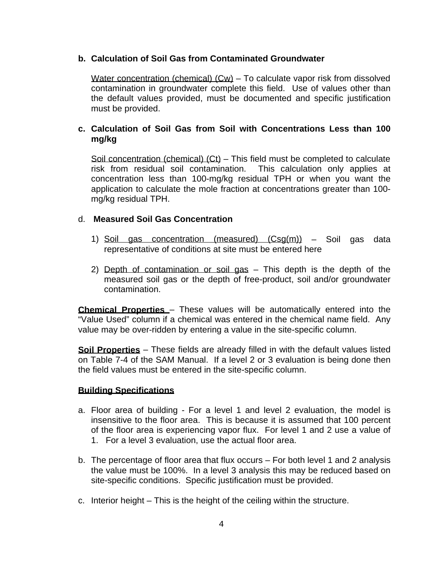# **b. Calculation of Soil Gas from Contaminated Groundwater**

Water concentration (chemical) (Cw) – To calculate vapor risk from dissolved contamination in groundwater complete this field. Use of values other than the default values provided, must be documented and specific justification must be provided.

# **c. Calculation of Soil Gas from Soil with Concentrations Less than 100 mg/kg**

Soil concentration (chemical) (Ct) – This field must be completed to calculate risk from residual soil contamination. This calculation only applies at concentration less than 100-mg/kg residual TPH or when you want the application to calculate the mole fraction at concentrations greater than 100 mg/kg residual TPH.

# d. **Measured Soil Gas Concentration**

- 1) Soil gas concentration (measured) (Csg(m)) Soil gas data representative of conditions at site must be entered here
- 2) Depth of contamination or soil gas This depth is the depth of the measured soil gas or the depth of free-product, soil and/or groundwater contamination.

**Chemical Properties** – These values will be automatically entered into the "Value Used" column if a chemical was entered in the chemical name field. Any value may be over-ridden by entering a value in the site-specific column.

**Soil Properties** – These fields are already filled in with the default values listed on Table 7-4 of the SAM Manual. If a level 2 or 3 evaluation is being done then the field values must be entered in the site-specific column.

#### **Building Specifications**

- a. Floor area of building For a level 1 and level 2 evaluation, the model is insensitive to the floor area. This is because it is assumed that 100 percent of the floor area is experiencing vapor flux. For level 1 and 2 use a value of 1. For a level 3 evaluation, use the actual floor area.
- b. The percentage of floor area that flux occurs For both level 1 and 2 analysis the value must be 100%. In a level 3 analysis this may be reduced based on site-specific conditions. Specific justification must be provided.
- c. Interior height This is the height of the ceiling within the structure.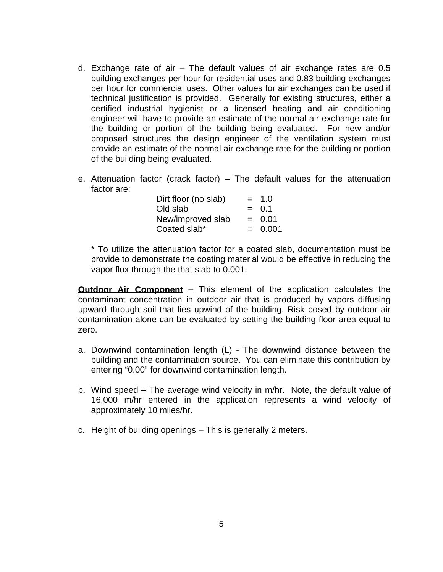- d. Exchange rate of air The default values of air exchange rates are 0.5 building exchanges per hour for residential uses and 0.83 building exchanges per hour for commercial uses. Other values for air exchanges can be used if technical justification is provided. Generally for existing structures, either a certified industrial hygienist or a licensed heating and air conditioning engineer will have to provide an estimate of the normal air exchange rate for the building or portion of the building being evaluated. For new and/or proposed structures the design engineer of the ventilation system must provide an estimate of the normal air exchange rate for the building or portion of the building being evaluated.
- e. Attenuation factor (crack factor) The default values for the attenuation factor are:

| Dirt floor (no slab) | $= 1.0$   |
|----------------------|-----------|
| Old slab             | $= 0.1$   |
| New/improved slab    | $= 0.01$  |
| Coated slab*         | $= 0.001$ |

\* To utilize the attenuation factor for a coated slab, documentation must be provide to demonstrate the coating material would be effective in reducing the vapor flux through the that slab to 0.001.

**Outdoor Air Component** – This element of the application calculates the contaminant concentration in outdoor air that is produced by vapors diffusing upward through soil that lies upwind of the building. Risk posed by outdoor air contamination alone can be evaluated by setting the building floor area equal to zero.

- a. Downwind contamination length (L) The downwind distance between the building and the contamination source. You can eliminate this contribution by entering "0.00" for downwind contamination length.
- b. Wind speed The average wind velocity in m/hr. Note, the default value of 16,000 m/hr entered in the application represents a wind velocity of approximately 10 miles/hr.
- c. Height of building openings This is generally 2 meters.